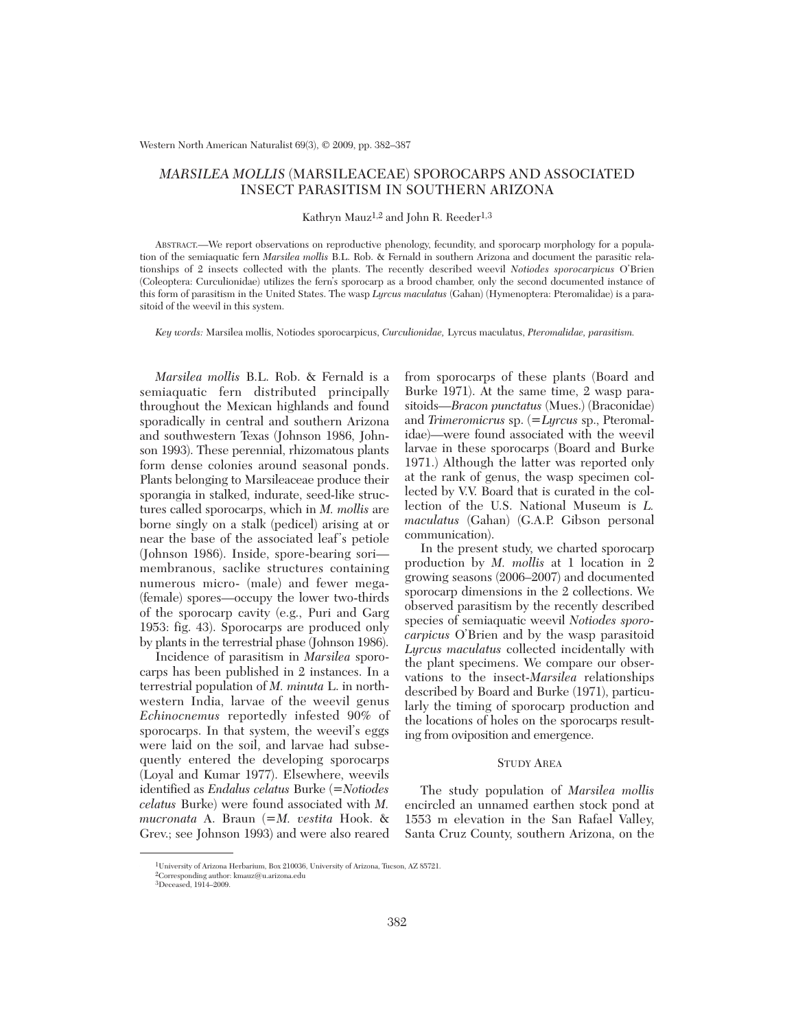# *MARSILEA MOLLIS* (MARSILEACEAE) SPOROCARPS AND ASSOCIATED INSECT PARASITISM IN SOUTHERN ARIZONA

## Kathryn Mauz<sup>1,2</sup> and John R. Reeder<sup>1,3</sup>

ABSTRACT.—We report observations on reproductive phenology, fecundity, and sporocarp morphology for a population of the semiaquatic fern *Marsilea mollis* B.L. Rob. & Fernald in southern Arizona and document the parasitic relationships of 2 insects collected with the plants. The recently described weevil *Notiodes sporocarpicus* O'Brien (Coleoptera: Curculionidae) utilizes the fern's sporocarp as a brood chamber, only the second documented instance of this form of parasitism in the United States. The wasp *Lyrcus maculatus* (Gahan) (Hymenoptera: Pteromalidae) is a parasitoid of the weevil in this system.

*Key words:* Marsilea mollis, Notiodes sporocarpicus, *Curculionidae,* Lyrcus maculatus, *Pteromalidae, parasitism.*

*Marsilea mollis* B.L. Rob. & Fernald is a semiaquatic fern distributed principally throughout the Mexican highlands and found sporadically in central and southern Arizona and southwestern Texas (Johnson 1986, Johnson 1993). These perennial, rhizomatous plants form dense colonies around seasonal ponds. Plants belonging to Marsileaceae produce their sporangia in stalked, indurate, seed-like structures called sporocarps, which in *M. mollis* are borne singly on a stalk (pedicel) arising at or near the base of the associated leaf's petiole (Johnson 1986). Inside, spore-bearing sori membranous, saclike structures containing numerous micro- (male) and fewer mega- (female) spores—occupy the lower two-thirds of the sporocarp cavity (e.g., Puri and Garg 1953: fig. 43). Sporocarps are produced only by plants in the terrestrial phase (Johnson 1986).

Incidence of parasitism in *Marsilea* sporocarps has been published in 2 instances. In a terrestrial population of *M. minuta* L. in north western India, larvae of the weevil genus *Echinocnemus* reportedly infested 90% of sporocarps. In that system, the weevil's eggs were laid on the soil, and larvae had subsequently entered the developing sporocarps (Loyal and Kumar 1977). Elsewhere, weevils identified as *Endalus celatus* Burke (=*Notiodes celatus* Burke) were found associated with *M. mucronata* A. Braun (=*M. vestita* Hook. & Grev.; see Johnson 1993) and were also reared

from sporocarps of these plants (Board and Burke 1971). At the same time, 2 wasp parasitoids—*Bracon punctatus* (Mues.) (Braconidae) and *Trimeromicrus* sp. (=*Lyrcus* sp., Pteromalidae)—were found associated with the weevil larvae in these sporocarps (Board and Burke 1971.) Although the latter was reported only at the rank of genus, the wasp specimen collected by V.V. Board that is curated in the collection of the U.S. National Museum is *L. maculatus* (Gahan) (G.A.P. Gibson personal communication).

In the present study, we charted sporocarp production by *M. mollis* at 1 location in 2 growing seasons (2006–2007) and documented sporocarp dimensions in the 2 collections. We observed parasitism by the recently described species of semiaquatic weevil *Notiodes sporocarpicus* O'Brien and by the wasp parasitoid *Lyrcus maculatus* collected incidentally with the plant specimens. We compare our observations to the insect-*Marsilea* relationships described by Board and Burke (1971), particularly the timing of sporocarp production and the locations of holes on the sporocarps resulting from oviposition and emergence.

## STUDY AREA

The study population of *Marsilea mollis* encircled an unnamed earthen stock pond at 1553 m elevation in the San Rafael Valley, Santa Cruz County, southern Arizona, on the

<sup>1</sup>University of Arizona Herbarium, Box 210036, University of Arizona, Tucson, AZ 85721.

 ${}^{2}$ Corresponding author: kmauz@u.arizona.edu

<sup>3</sup>Deceased, 1914–2009.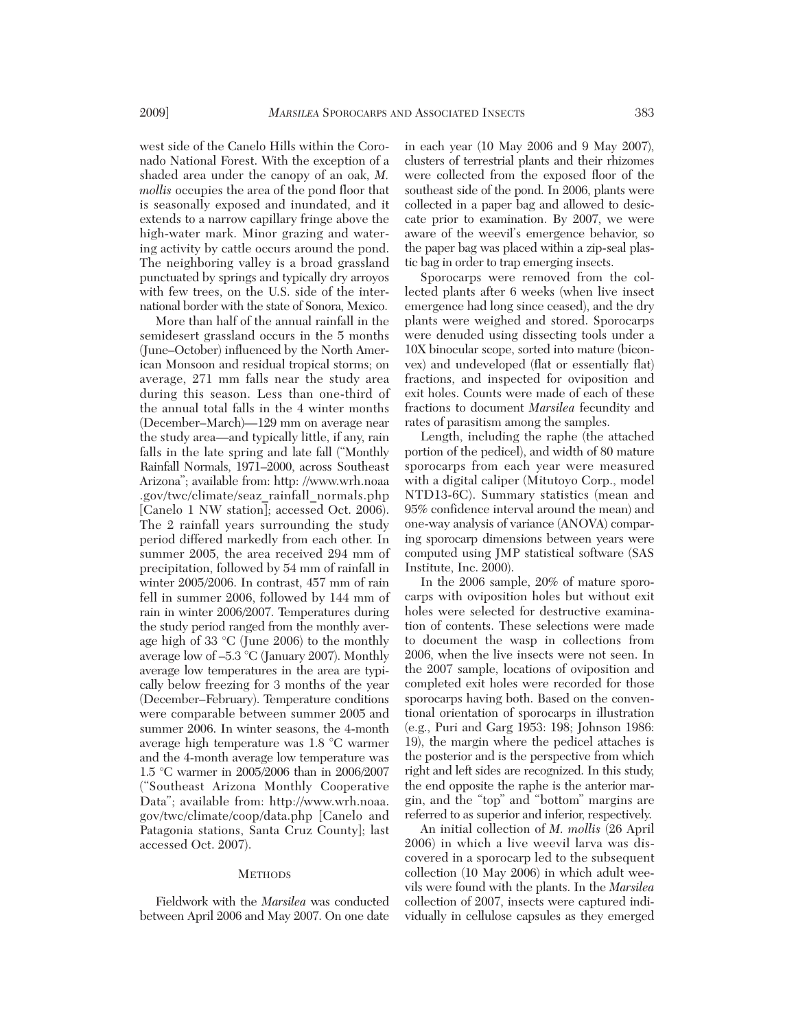west side of the Canelo Hills within the Coronado National Forest. With the exception of a shaded area under the canopy of an oak, *M. mollis* occupies the area of the pond floor that is seasonally exposed and inundated, and it extends to a narrow capillary fringe above the high-water mark. Minor grazing and watering activity by cattle occurs around the pond. The neighboring valley is a broad grassland punctuated by springs and typically dry arroyos with few trees, on the U.S. side of the international border with the state of Sonora, Mexico.

More than half of the annual rainfall in the semidesert grassland occurs in the 5 months (June–October) influenced by the North American Monsoon and residual tropical storms; on average, 271 mm falls near the study area during this season. Less than one-third of the annual total falls in the 4 winter months (December–March)—129 mm on average near the study area—and typically little, if any, rain falls in the late spring and late fall ("Monthly Rainfall Normals, 1971–2000, across Southeast Arizona"; available from: http: //www.wrh.noaa .gov/twc/climate/seaz\_rainfall\_normals.php [Canelo 1 NW station]; accessed Oct. 2006). The 2 rainfall years surrounding the study period differed markedly from each other. In summer 2005, the area received 294 mm of precipitation, followed by 54 mm of rainfall in winter 2005/2006. In contrast, 457 mm of rain fell in summer 2006, followed by 144 mm of rain in winter 2006/2007. Temperatures during the study period ranged from the monthly average high of 33 °C (June 2006) to the monthly average low of –5.3 °C (January 2007). Monthly average low temperatures in the area are typically below freezing for 3 months of the year (December–February). Temperature conditions were comparable between summer 2005 and summer 2006. In winter seasons, the 4-month average high temperature was 1.8 °C warmer and the 4-month average low temperature was 1.5 °C warmer in 2005/2006 than in 2006/2007 ("Southeast Arizona Monthly Cooperative Data"; available from: http://www.wrh.noaa. gov/twc/climate/coop/data.php [Canelo and Patagonia stations, Santa Cruz County]; last accessed Oct. 2007).

## **METHODS**

Fieldwork with the *Marsilea* was conducted between April 2006 and May 2007. On one date

in each year (10 May 2006 and 9 May 2007), clusters of terrestrial plants and their rhizomes were collected from the exposed floor of the southeast side of the pond. In 2006, plants were collected in a paper bag and allowed to desiccate prior to examination. By 2007, we were aware of the weevil's emergence behavior, so the paper bag was placed within a zip-seal plastic bag in order to trap emerging insects.

Sporocarps were removed from the collected plants after 6 weeks (when live insect emergence had long since ceased), and the dry plants were weighed and stored. Sporocarps were denuded using dissecting tools under a 10X binocular scope, sorted into mature (biconvex) and undeveloped (flat or essentially flat) fractions, and inspected for oviposition and exit holes. Counts were made of each of these fractions to document *Marsilea* fecundity and rates of parasitism among the samples.

Length, including the raphe (the attached portion of the pedicel), and width of 80 mature sporocarps from each year were measured with a digital caliper (Mitutoyo Corp., model NTD13-6C). Summary statistics (mean and 95% confidence interval around the mean) and one-way analysis of variance (ANOVA) comparing sporocarp dimensions between years were computed using JMP statistical software (SAS Institute, Inc. 2000).

In the 2006 sample, 20% of mature sporocarps with oviposition holes but without exit holes were selected for destructive examination of contents. These selections were made to document the wasp in collections from 2006, when the live insects were not seen. In the 2007 sample, locations of oviposition and completed exit holes were recorded for those sporocarps having both. Based on the conventional orientation of sporocarps in illustration (e.g., Puri and Garg 1953: 198; Johnson 1986: 19), the margin where the pedicel attaches is the posterior and is the perspective from which right and left sides are recognized. In this study, the end opposite the raphe is the anterior margin, and the "top" and "bottom" margins are referred to as superior and inferior, respectively.

An initial collection of *M. mollis* (26 April 2006) in which a live weevil larva was dis covered in a sporocarp led to the subsequent collection (10 May 2006) in which adult weevils were found with the plants. In the *Marsilea* collection of 2007, insects were captured individually in cellulose capsules as they emerged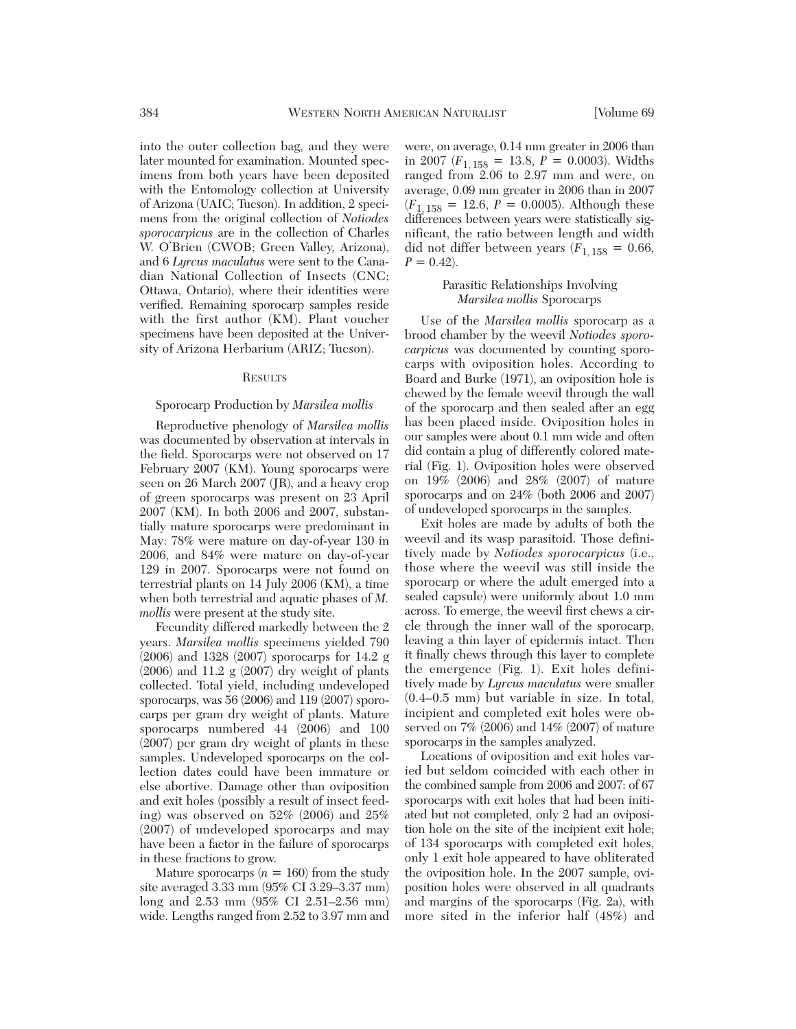into the outer collection bag, and they were later mounted for examination. Mounted specimens from both years have been deposited with the Entomology collection at University of Arizona (UAIC; Tucson). In addition, 2 specimens from the original collection of *Notiodes sporocarpicus* are in the collection of Charles W. O'Brien (CWOB; Green Valley, Arizona), and 6 *Lyrcus maculatus* were sent to the Canadian National Collection of Insects (CNC; Ottawa, Ontario), where their identities were verified. Remaining sporocarp samples reside with the first author (KM). Plant voucher specimens have been deposited at the University of Arizona Herbarium (ARIZ; Tucson).

### **RESULTS**

## Sporocarp Production by *Marsilea mollis*

Reproductive phenology of *Marsilea mollis* was documented by observation at intervals in the field. Sporocarps were not observed on 17 February 2007 (KM). Young sporocarps were seen on 26 March 2007 (JR), and a heavy crop of green sporocarps was present on 23 April 2007 (KM). In both 2006 and 2007, substantially mature sporocarps were predominant in May: 78% were mature on day-of-year 130 in 2006, and 84% were mature on day-of-year 129 in 2007. Sporocarps were not found on terrestrial plants on 14 July 2006 (KM), a time when both terrestrial and aquatic phases of *M. mollis* were present at the study site.

Fecundity differed markedly between the 2 years. *Marsilea mollis* specimens yielded 790 (2006) and 1328 (2007) sporocarps for 14.2 g (2006) and 11.2 g (2007) dry weight of plants collected. Total yield, including undeveloped sporocarps, was 56 (2006) and 119 (2007) sporocarps per gram dry weight of plants. Mature sporocarps numbered 44 (2006) and 100 (2007) per gram dry weight of plants in these samples. Undeveloped sporocarps on the collection dates could have been immature or else abortive. Damage other than oviposition and exit holes (possibly a result of insect feeding) was observed on 52% (2006) and 25% (2007) of undeveloped sporocarps and may have been a factor in the failure of sporocarps in these fractions to grow.

Mature sporocarps  $(n = 160)$  from the study site averaged 3.33 mm (95% CI 3.29–3.37 mm) long and 2.53 mm (95% CI 2.51–2.56 mm) wide. Lengths ranged from 2.52 to 3.97 mm and

were, on average, 0.14 mm greater in 2006 than in 2007 ( $F_{1, 158} = 13.8$ ,  $P = 0.0003$ ). Widths ranged from 2.06 to 2.97 mm and were, on average, 0.09 mm greater in 2006 than in 2007  $(F_{1, 158} = 12.6, P = 0.0005)$ . Although these differences between years were statistically significant, the ratio between length and width did not differ between years  $(F_{1, 158} = 0.66,$  $P = 0.42$ .

# Parasitic Relationships Involving *Marsilea mollis* Sporocarps

Use of the *Marsilea mollis* sporocarp as a brood chamber by the weevil *Notiodes sporocarpicus* was documented by counting sporocarps with oviposition holes. According to Board and Burke (1971), an oviposition hole is chewed by the female weevil through the wall of the sporocarp and then sealed after an egg has been placed inside. Oviposition holes in our samples were about 0.1 mm wide and often did contain a plug of differently colored material (Fig. 1). Oviposition holes were observed on 19% (2006) and 28% (2007) of mature sporocarps and on 24% (both 2006 and 2007) of undeveloped sporocarps in the samples.

Exit holes are made by adults of both the weevil and its wasp parasitoid. Those definitively made by *Notiodes sporocarpicus* (i.e., those where the weevil was still inside the sporocarp or where the adult emerged into a sealed capsule) were uniformly about 1.0 mm across. To emerge, the weevil first chews a circle through the inner wall of the sporocarp, leaving a thin layer of epidermis intact. Then it finally chews through this layer to complete the emergence (Fig. 1). Exit holes defini tively made by *Lyrcus maculatus* were smaller (0.4–0.5 mm) but variable in size. In total, incipient and completed exit holes were observed on 7% (2006) and 14% (2007) of mature sporocarps in the samples analyzed.

Locations of oviposition and exit holes varied but seldom coincided with each other in the combined sample from 2006 and 2007: of 67 sporocarps with exit holes that had been initiated but not completed, only 2 had an oviposition hole on the site of the incipient exit hole; of 134 sporocarps with completed exit holes, only 1 exit hole appeared to have obliterated the oviposition hole. In the 2007 sample, ovipo sition holes were observed in all quadrants and margins of the sporocarps (Fig. 2a), with more sited in the inferior half (48%) and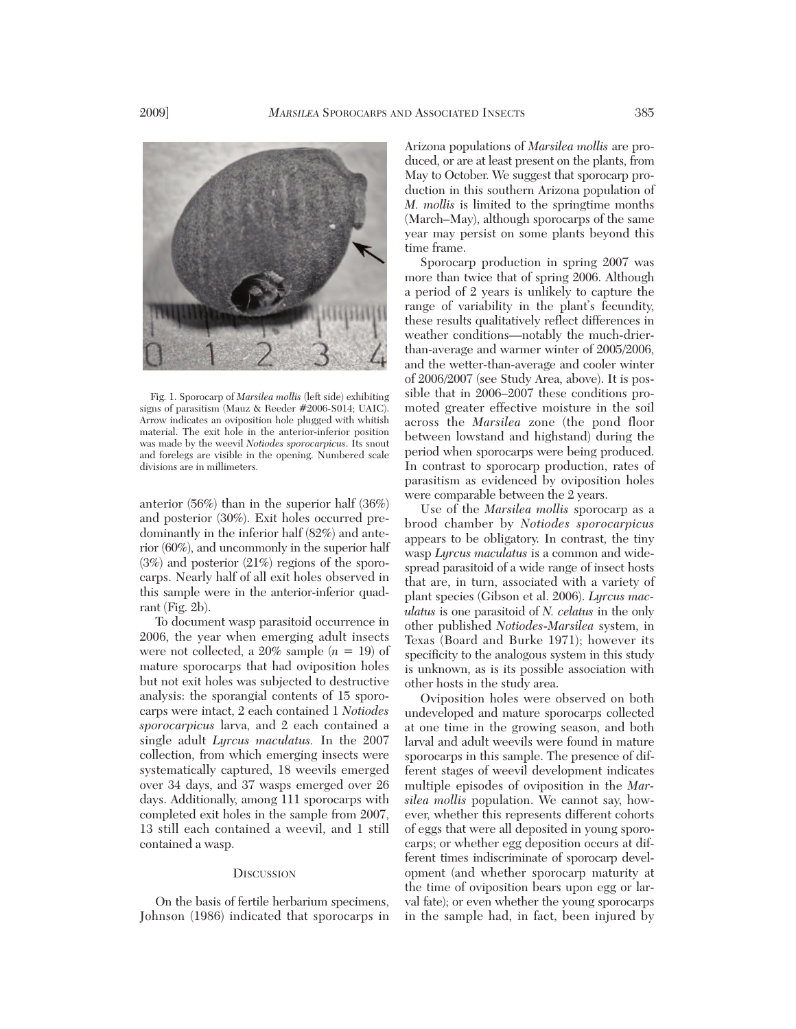

Fig. 1. Sporocarp of *Marsilea mollis* (left side) exhibiting signs of parasitism (Mauz & Reeder #2006-S014; UAIC). Arrow indicates an oviposition hole plugged with whitish material. The exit hole in the anterior-inferior position was made by the weevil *Notiodes sporocarpicus*. Its snout and forelegs are visible in the opening. Numbered scale divisions are in millimeters.

anterior (56%) than in the superior half (36%) and posterior (30%). Exit holes occurred predominantly in the inferior half (82%) and anterior (60%), and uncommonly in the superior half (3%) and posterior (21%) regions of the sporocarps. Nearly half of all exit holes observed in this sample were in the anterior-inferior quadrant (Fig. 2b).

To document wasp parasitoid occurrence in 2006, the year when emerging adult insects were not collected, a  $20\%$  sample  $(n = 19)$  of mature sporocarps that had oviposition holes but not exit holes was subjected to destructive analysis: the sporangial contents of 15 sporocarps were intact, 2 each contained 1 *Notiodes sporocarpicus* larva, and 2 each contained a single adult *Lyrcus maculatus.* In the 2007 collection, from which emerging insects were systematically captured, 18 weevils emerged over 34 days, and 37 wasps emerged over 26 days. Additionally, among 111 sporocarps with completed exit holes in the sample from 2007, 13 still each contained a weevil, and 1 still contained a wasp.

## **DISCUSSION**

On the basis of fertile herbarium specimens, Johnson (1986) indicated that sporocarps in

Arizona populations of *Marsilea mollis* are produced, or are at least present on the plants, from May to October. We suggest that sporocarp production in this southern Arizona population of *M. mollis* is limited to the springtime months (March–May), although sporocarps of the same year may persist on some plants beyond this time frame.

Sporocarp production in spring 2007 was more than twice that of spring 2006. Although a period of 2 years is unlikely to capture the range of variability in the plant's fecundity, these results qualitatively reflect differences in weather conditions—notably the much-drierthan-average and warmer winter of 2005/2006, and the wetter-than-average and cooler winter of 2006/2007 (see Study Area, above). It is possible that in 2006–2007 these conditions promoted greater effective moisture in the soil across the *Marsilea* zone (the pond floor between lowstand and highstand) during the period when sporocarps were being produced. In contrast to sporocarp production, rates of parasitism as evidenced by oviposition holes were comparable between the 2 years.

Use of the *Marsilea mollis* sporocarp as a brood chamber by *Notiodes sporocarpicus* appears to be obligatory. In contrast, the tiny wasp *Lyrcus maculatus* is a common and widespread parasitoid of a wide range of insect hosts that are, in turn, associated with a variety of plant species (Gibson et al. 2006). *Lyrcus mac ulatus* is one parasitoid of *N. celatus* in the only other published *Notiodes*-*Marsilea* system, in Texas (Board and Burke 1971); however its specificity to the analogous system in this study is unknown, as is its possible association with other hosts in the study area.

Oviposition holes were observed on both undeveloped and mature sporocarps collected at one time in the growing season, and both larval and adult weevils were found in mature sporocarps in this sample. The presence of different stages of weevil development indicates multiple episodes of oviposition in the *Marsilea mollis* population. We cannot say, however, whether this represents different cohorts of eggs that were all deposited in young sporocarps; or whether egg deposition occurs at different times indiscriminate of sporocarp development (and whether sporocarp maturity at the time of oviposition bears upon egg or larval fate); or even whether the young sporocarps in the sample had, in fact, been injured by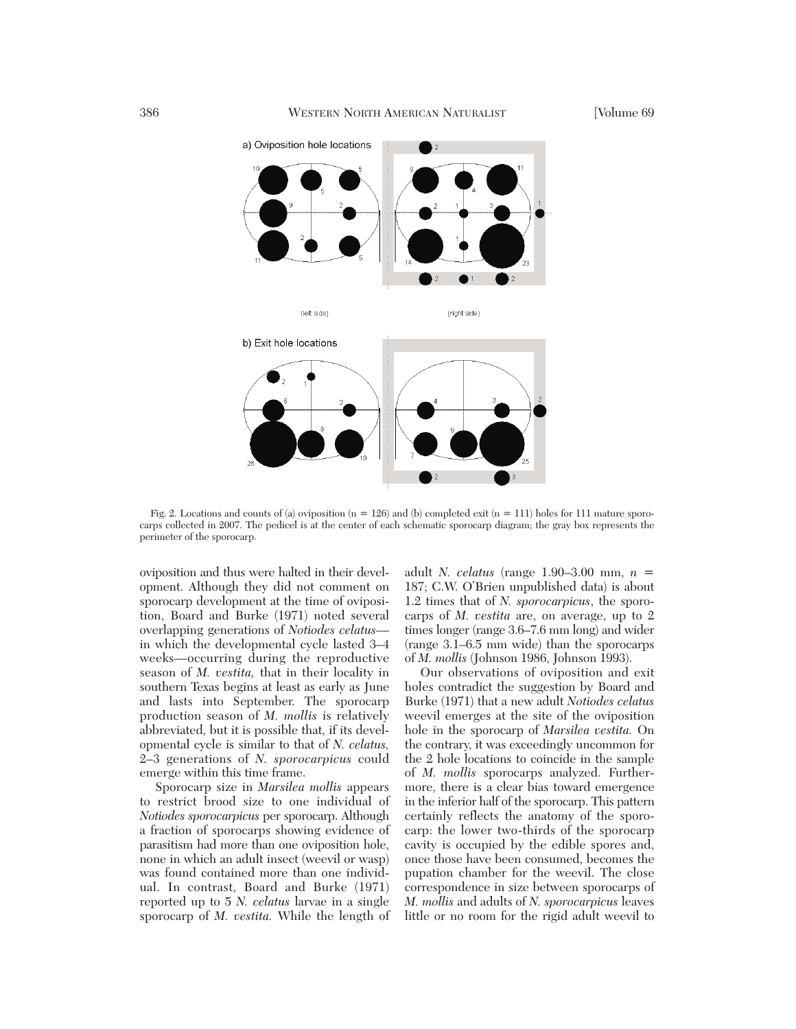

Fig. 2. Locations and counts of (a) oviposition ( $n = 126$ ) and (b) completed exit ( $n = 111$ ) holes for 111 mature sporocarps collected in 2007. The pedicel is at the center of each schematic sporocarp diagram; the gray box represents the perimeter of the sporocarp.

oviposition and thus were halted in their development. Although they did not comment on sporocarp development at the time of oviposition, Board and Burke (1971) noted several overlapping generations of *Notiodes celatus* in which the developmental cycle lasted 3–4 weeks—occurring during the reproductive season of *M. vestita,* that in their locality in southern Texas begins at least as early as June and lasts into September. The sporocarp production season of *M. mollis* is relatively abbreviated, but it is possible that, if its developmental cycle is similar to that of *N. celatus,* 2–3 generations of *N. sporocarpicus* could emerge within this time frame.

Sporocarp size in *Marsilea mollis* appears to restrict brood size to one individual of *Notiodes sporocarpicus* per sporocarp. Although a fraction of sporocarps showing evidence of parasitism had more than one oviposition hole, none in which an adult insect (weevil or wasp) was found contained more than one individual. In contrast, Board and Burke (1971) reported up to 5 *N. celatus* larvae in a single sporocarp of *M. vestita.* While the length of

adult *N. celatus* (range 1.90–3.00 mm, *n* = 187; C.W. O'Brien unpublished data) is about 1.2 times that of *N. sporocarpicus*, the sporocarps of *M. vestita* are, on average, up to 2 times longer (range 3.6–7.6 mm long) and wider (range 3.1–6.5 mm wide) than the sporocarps of *M. mollis* (Johnson 1986, Johnson 1993).

Our observations of oviposition and exit holes contradict the suggestion by Board and Burke (1971) that a new adult *Notiodes celatus* weevil emerges at the site of the oviposition hole in the sporocarp of *Marsilea vestita.* On the contrary, it was exceedingly uncommon for the 2 hole locations to coincide in the sample of *M. mollis* sporocarps analyzed. Furthermore, there is a clear bias toward emergence in the inferior half of the sporocarp. This pattern certainly reflects the anatomy of the sporocarp: the lower two-thirds of the sporocarp cavity is occupied by the edible spores and, once those have been consumed, becomes the pupation chamber for the weevil. The close correspondence in size between sporocarps of *M. mollis* and adults of *N. sporocarpicus* leaves little or no room for the rigid adult weevil to